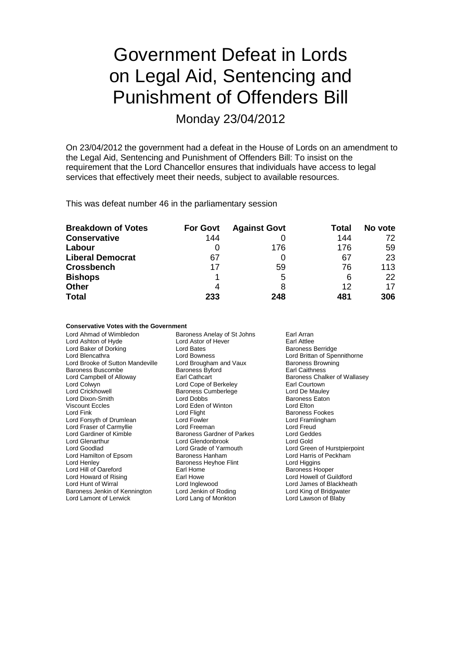# Government Defeat in Lords on Legal Aid, Sentencing and Punishment of Offenders Bill

Monday 23/04/2012

On 23/04/2012 the government had a defeat in the House of Lords on an amendment to the Legal Aid, Sentencing and Punishment of Offenders Bill: To insist on the requirement that the Lord Chancellor ensures that individuals have access to legal services that effectively meet their needs, subject to available resources.

This was defeat number 46 in the parliamentary session

| <b>Breakdown of Votes</b> | <b>For Govt</b> | <b>Against Govt</b> | Total | No vote |
|---------------------------|-----------------|---------------------|-------|---------|
| <b>Conservative</b>       | 144             |                     | 144   | 72      |
| Labour                    |                 | 176                 | 176   | 59      |
| <b>Liberal Democrat</b>   | 67              |                     | 67    | 23      |
| <b>Crossbench</b>         | 17              | 59                  | 76    | 113     |
| <b>Bishops</b>            |                 | 5                   | 6     | 22      |
| <b>Other</b>              | 4               | 8                   | 12    | 17      |
| <b>Total</b>              | 233             | 248                 | 481   | 306     |

#### **Conservative Votes with the Government**

| Lord Ahmad of Wimbledon          | Baroness Anelay of St Johns | Earl Arran                   |
|----------------------------------|-----------------------------|------------------------------|
| Lord Ashton of Hyde              | Lord Astor of Hever         | Earl Attlee                  |
| Lord Baker of Dorking            | Lord Bates                  | <b>Baroness Berridge</b>     |
| Lord Blencathra                  | Lord Bowness                | Lord Brittan of Spennithorne |
| Lord Brooke of Sutton Mandeville | Lord Brougham and Vaux      | <b>Baroness Browning</b>     |
| <b>Baroness Buscombe</b>         | <b>Baroness Byford</b>      | Earl Caithness               |
| Lord Campbell of Alloway         | Earl Cathcart               | Baroness Chalker of Wallasey |
| Lord Colwyn                      | Lord Cope of Berkeley       | Earl Courtown                |
| <b>Lord Crickhowell</b>          | <b>Baroness Cumberlege</b>  | Lord De Mauley               |
| Lord Dixon-Smith                 | Lord Dobbs                  | <b>Baroness Eaton</b>        |
| <b>Viscount Eccles</b>           | Lord Eden of Winton         | Lord Elton                   |
| Lord Fink                        | Lord Flight                 | <b>Baroness Fookes</b>       |
| Lord Forsyth of Drumlean         | Lord Fowler                 | Lord Framlingham             |
| Lord Fraser of Carmyllie         | Lord Freeman                | Lord Freud                   |
| Lord Gardiner of Kimble          | Baroness Gardner of Parkes  | Lord Geddes                  |
| Lord Glenarthur                  | Lord Glendonbrook           | Lord Gold                    |
| Lord Goodlad                     | Lord Grade of Yarmouth      | Lord Green of Hurstpierpoint |
| Lord Hamilton of Epsom           | <b>Baroness Hanham</b>      | Lord Harris of Peckham       |
| Lord Henley                      | Baroness Heyhoe Flint       | Lord Higgins                 |
| Lord Hill of Oareford            | Earl Home                   | <b>Baroness Hooper</b>       |
| Lord Howard of Rising            | Earl Howe                   | Lord Howell of Guildford     |
| Lord Hunt of Wirral              | Lord Inglewood              | Lord James of Blackheath     |
| Baroness Jenkin of Kennington    | Lord Jenkin of Roding       | Lord King of Bridgwater      |
| Lord Lamont of Lerwick           | Lord Lang of Monkton        | Lord Lawson of Blaby         |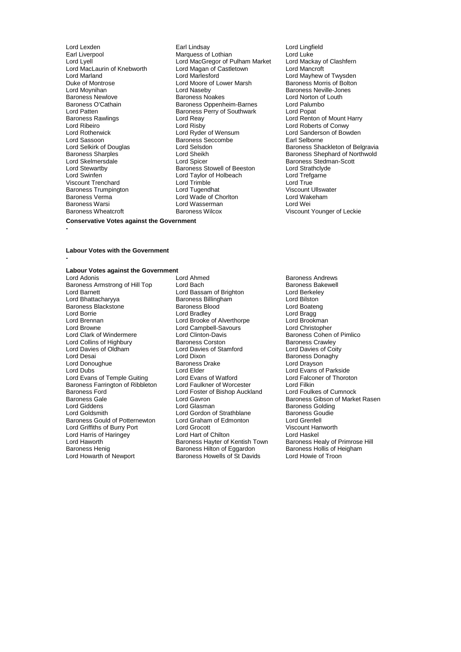Lord MacLaurin of Knebworth Lord Magan of C<br>Lord Marland Castletown Lord Marlesford Duke of Montrose Lord Moore of Lower Marsh<br>
Lord Moynihan<br>
Lord Naseby Lord Patten **Baroness Perry of Southwark**<br>
Baroness Rawlings<br>
Lord Reay Lord Sassoon Baroness Seccombe<br>
Lord Selskirk of Douglas<br>
Lord Selsdon Baroness Warsi **Lord Wasserman**<br>Baroness Wheatcroft **Lorent Baroness Wilcox** 

Lord Lexden Earl Lindsay Lord Lingfield Earl Liverpool **Earl Liverpool** Marquess of Lothian Lord Luke<br>Lord Lyell Lord MacGregor of Pulham Market Lord Mackay of Clashfern Lord MacGregor of Pulham Market Lord Mackay of Castletown Lord Mackay of Castletown Lord Marland Lord Marlesford Lord Mayhew of Twysden Lord Naseby Baroness Neville-Jones<br>
Baroness Noakes<br>
Lord Norton of Louth Baroness Newlove **Baroness Noakes** Lord Norton of Baroness Noakes Lord Norton of Baroness O'Cathain **Baroness** O'Cathain Baroness O'Cathain **Baroness O'Cathain** Baroness Oppenheim-Barnes Lord Palum<br>
Lord Patten Lord Popat Baroness Rawlings **Example 2 Example 2 Lord Reay Lord Renton of Mount Harry Lord Renton of Mount Harry Lord Rishops Control Control Lord Rishops Control Control Control Control Control Control Control Control Control Con** Lord Ribeiro Lord Risby Lord Roberts of Conwy Lord Rotherwick Lord Ryder of Wensum Lord Sanderson of Bowden Lord Skelmersdale Lord Spicer Baroness Stedman-Scott Lord Stewartby **Baroness Stowell of Beeston** Lord Strathclyd<br>
Lord Swinfen **Baroness Stowell of Beeston** Lord Trefgarne Lord Taylor of Holbeach Lord Trefg<br>
Lord Trimble Lord True Viscount Trenchard Lord Trimble Lord True Baroness Trumpington **Lord Tugendhat** Communist Conduction Constant Ullswater Baroness Verman Viscount Ullswater<br>
Lord Water Lord Water Lord Water Constant Lord Water Lord Water Lord Water Lord Water Lord Water Lord Water Baroness Verma Lord Wade of Chorlton Lord Wakeham

# Lord Selkirk of Douglas Lord Selsdon Baroness Shackleton of Belgravia Baroness Sharples<br>
Lord Skelmersdale<br>
Lord Skelmersdale<br>
Lord Shephard Cord Spicer<br>
Baroness Stedman-Scott Viscount Younger of Leckie

#### **Conservative Votes against the Government**

**-**

**-**

#### **Labour Votes with the Government**

### **Labour Votes against the Government**

Baroness Armstrong of Hill Top Lord Bach Baroness Bakewell Baroness Bakewell Baroness Bakewell Baroness Bakewell<br>
Lord Barnett Baroness Bakewell Bassam of Brighton Christelevell Barness Bakewell Baroness Bakewell Baroness Lord Barnett Lord Bassam of Brighton Lord Berkeley Baroness Blackstone Baroness Bloomer Baroness Bloomer<br>
Baroness Bloomer<br>
Lord Bradley Lord British Lord Bradley Lord Brack Lord Branch Lord Branch Lord Branch Lord Branch Lord Brookman<br>
Lord Brooke of Alverthorpe Lord Brookman Lord Brennan Lord Brooke of Alverthorpe Lord Brookman<br>Lord Brookman Lord Campbell-Savours Lord Christopher Lord Browne Lord Campbell-Savours<br>
Lord Clark of Windermere Lord Clinton-Davis Lord Collins of Highbury **Baroness Corston Baroness Corston**<br>
Lord Davies of Oldham **Baroness Corston Baroness** Corstant Corston Barones Lord Davies of Oldham Lord Davies of Stamford Lord Davies of Coity Lord Donoughue Baroness I<br>
Lord Dubs<br>
Lord Elder Lord Evans of Temple Guiting Lord Evans of Watford Lord Falco<br>
Baroness Farrington of Ribbleton Lord Faulkner of Worcester Lord Filkin Baroness Farrington of Ribbleton Lord Faulkner of Worcester Lord Filkin<br>Baroness Ford Cumnock Lord Foster of Bishop Auckland Lord Foulkes of Cumnock Baroness Ford **Exercise Server Cumnock** Lord Foster of Bishop Auckland Baroness Gale Baroness Gale **Communist Constructed Lord Gavron** Construction Constructed Baroness Gibson of Market Rasen<br> **Baroness Golding**<br>
Lord Giddens Lord Giddens **Lord Glasman** Communist Communist Communist Conduing<br>
Lord Goldsmith Lord Gordon of Strathblane Baroness Goudie Baroness Gould of Potternewton Lord Graham of Edmonton Lord Grenfell Lord Griffiths of Burry Port Lord Grocott<br>
Lord Harris of Haringey Lord Hart of Chilton Chilton Lord Haskel Lord Harris of Haringey **Lord Hart of Chilton Corpussion Club** Lord Haskel<br>Lord Haworth Lord Aringey **Club Baroness Hayter of Kentish Town** Baroness Healy of Primrose Hill Lord Haworth **Baroness Hayter of Kentish Town** Baroness Healy of Primrose<br>Baroness Henig **Baroness Hillton of Eggardon** Baroness Hollis of Heigham Baroness Henig Baroness Hilton of Eggardon Baroness Hollis of Heigham Baroness Hollis of Heigham Baroness Howells of St Davids Lord Howie of Troon

Lord Ahmed **Baroness Andrews**<br>
Lord Bach **Baroness Bakewell** Baroness Billingham Lord Bilston<br>
Baroness Blood Lord Boateng Lord Clinton-Davis<br>
Baroness Corston<br>
Baroness Crawley<br>
Baroness Crawley Lord Dixon **Disk Communist Constructs** Baroness Donaghy<br>
Baroness Drake **Baroness** Lord Drayson Lord Elder<br>
Lord Evans of Watford<br>
Lord Ealconer of Thoroton Lord Gordon of Strathblane Baroness Goudies<br>
Lord Graham of Edmonton Lord Grenfell Baroness Howells of St Davids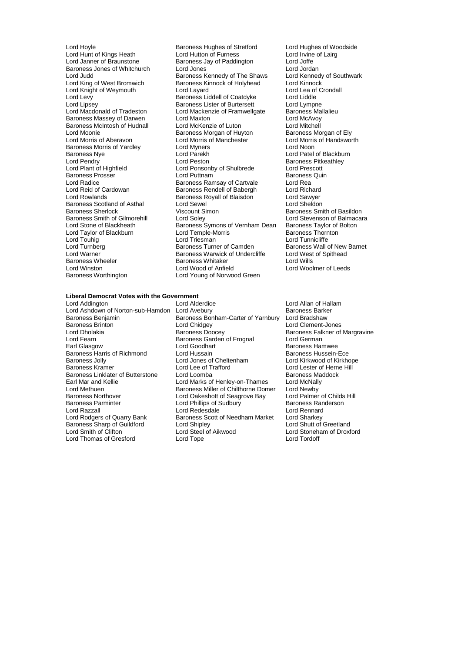Baroness Morris of Yardley<br>Baroness Nye Cord Parekh Baroness Scotland of Asthal Lord Sewel<br>
Baroness Sherlock Consult Sheldon Viscount Simon Baroness Wheeler **Baroness Whitaker**<br>
Lord Winston<br>
Lord Wood of Anfield

Lord Hoyle **Baroness Hughes of Stretford** Lord Hughes of Woodside<br>
Lord Hunt of Kings Heath Lord Hutton of Furness Lord Irvine of Lairg Lord Hunt of Kings Heath Lord Hutton of Furness Cord Hutton of Lord Hutton of Furness<br>Lord Janner of Braunstone Caroness Jay of Paddington Lord Joffe Baroness Jay of Paddington<br>
Lord Jones<br>
Lord Jordan Baroness Jones of Whitchurch Lord Jones<br>
Lord Judd Lord Judd Baroness Kennedy of The Shaws Lord Kennedy of Southwark Lord Judd<br>
Lord King of West Bromwich **Baroness Kinnock of Holyhead** Lord Kinnock<br>
Baroness Kinnock of Holyhead Lord Kinnock Baroness Kinnock of Holyhead Lord Kinnock<br>
Lord Lavard Lord Lea of Crondall Lord Knight of Weymouth Lord Layard Lord Lea of Lord Lea of Lord Lea of Lord Lea of Lord Lea of Lord Liddle Lord Levy **Example 2** Exercise Baroness Liddell of Coatdyke Lord Liddle<br>
Lord Lipsey **Baroness Lister of Burtersett** Lord Lympne Lord Lipsey **Baroness Lister of Burtersett** Lord Lympne<br>
Lord Macdonald of Tradeston Lord Mackenzie of Framwellgate Baroness Mallalieu Lord Mackenzie of Framwellgate Baroness Mal<br>Lord Maxton Lord McAvoy Baroness Massey of Darwen Lord Maxton Lord Corress Make Lord McAvoy<br>
Baroness McIntosh of Hudnall Lord McKenzie of Luton Lord Mitchell Baroness McIntosh of Hudnall Lord McKenzie of Luton Lord Mitchell<br>
Lord Moonie Cord McKenzie of Huyton Baroness Morgan of Ely Lord Moonie **Baroness Morgan of Huyton**<br>
Lord Morris of Aberavon **Baroness Morgan of Manchester Baroness Morgan of Handsworth** Lord Morris of Manchester Lord Morris Cord Morris Cord Morris<br>Lord Myners Cord Noon Baroness Nye Lord Parekh Lord Patel of Blackburn Lord Pendry Lord Peston Baroness Pitkeathley Lord Ponsonby of Shulbrede Lord Prescott<br>
Lord Puttnam Corporation Baroness Quin Baroness Prosser **Example 2** Lord Puttnam **Baroness Prosser Baroness**<br>
Lord Radice **Calculate Contract Baroness Ramsay of Cartvale** Lord Rea Lord Radice **Carty Communist Communist Baroness Ramsay of Cartvale** Lord Rea<br>
Lord Reid of Cardowan **Baroness Rendell of Babergh** Lord Richard Lord Reid of Cardowan **Baroness Rendell** of Babergh Lord Richard<br>Lord Rowlands **Baroness Royall of Blaisdon** Lord Sawyer Baroness Royall of Blaisdon **Lord Sawyer**<br>
Lord Sewel **Lord Sheldon** Baroness Sherlock **Viscount Simon**<br>
Baroness Smith of Gilmorehill **Baroness Smith of Balmacara**<br>
Lord Stevenson of Balmacara Baroness Smith of Gilmorehill Lord Soley Lord Stevenson of Balmacara Lord Stone of Blackheath Baroness Symons of Vernham Dean Baroness Taylor of Bolton Lord Taylor of Blackburn Lord Temple-Morris Baroness Thornton Lord Touhig **Lord Triesman** Lord Triesman Lord Tunnicliffe<br>
Lord Turnberg **Camelian Communication**<br>
Baroness Turner of Camden Baroness Wall of Lord Turnberg **Baroness Turner of Camden** Baroness Wall of New Barnet<br>
Lord Warner **Baroness Warwick of Undercliffe** Lord West of Spithead Lord Warner The State of Baroness Warwick of Undercliffe The Lord West Order Cord Cord Cord Cord Cord Cord Cor<br>Baroness Wheeler The Spithead Baroness Whitaker The Spithead Cord Wills Lord Winston Lord Wood of Anfield Lord Woolmer of Leeds Lord Young of Norwood Green

#### **Liberal Democrat Votes with the Government**

Lord Addington Lord Alderdice Lord Allan of Hallam Lord Fearn **Baroness Garden of Frognal**<br>
Earl Glasgow **Baroness Card Coodhart** Baroness Jolly **Lord Jones of Cheltenham**<br>
Baroness Kramer<br>
Lord Lee of Trafford Baroness Linklater of Butterstone Lord Methuen **Baroness Miller of Chilthorne Domer**<br>Baroness Northover **Baroness Lord Oakeshott of Seagrove Bay** Baroness Sharp of Guildford Lord Shipley<br>
Lord Smith of Clifton Lord Steel of Aikwood Lord Thomas of Gresford

Lord Ashdown of Norton-sub-Hamdon Lord Avebury<br>Baroness Barham-Carter of Yarnbury Lord Bradshaw Baroness Benjamin Baroness Bonham-Carter of Yarnbury<br>Baroness Brinton Lord Chidgey Baroness Brinton **Communist Control Chidgey** Exercise Controller Lord Clement-Jones<br>
Lord Dholakia **Lord Childges**<br>
Baroness Falkner of Lord Dholakia **Baroness Doocey** Baroness Falkner of Margravine<br>
Baroness Garden of Frognal Lord German<br>
Lord Fearn Lord Goodhart **Earl Goodhart** Baroness Hamwee<br>
Lord Hussain Baroness Hussein-Ece Baroness Harris of Richmond Lord Hussain<br>
Lord Anness Jolly Cord Lord Jones of Cheltenham Lord Kirkwood of Kirkhope Lord Lee of Trafford **Exercise Lord Lester of Herne Hill**<br>
Lord Loomba<br>
Baroness Maddock Earl Mar and Kellie **Lord Marks of Henley-on-Thames** Lord McNally<br>
Lord Methuen **Lord Marks of Henley-On-Thames** Lord Mewby<br>
Baroness Northover Lord Oakeshott of Seagrove Bay Lord Palmer of Childs Hill Baroness Northover **Lord Oakeshott of Seagrove Bay** Lord Palmer of Childs Baroness Parminter Childs Lord Phillips of Sudbury Baroness Randerson Paroness Parminter **Exercise Search Control Control Control Control Control Control Control Control Control Control Control Control Control Control Control Control Control Control Control Control Control Control Control Co** Lord Razzall **Lord Rennard** Lord Redesdale **Lord Rennard**<br>
Lord Rodgers of Quarry Bank **Baroness Scott of Needham Market** Lord Sharkey Baroness Scott of Needham Market Lord Sharkey<br>Lord Shiplev Lord Shutt of Greetland Lord Smith of Clifton Lord Steel of Aikwood Lord Stoneham of Droxford